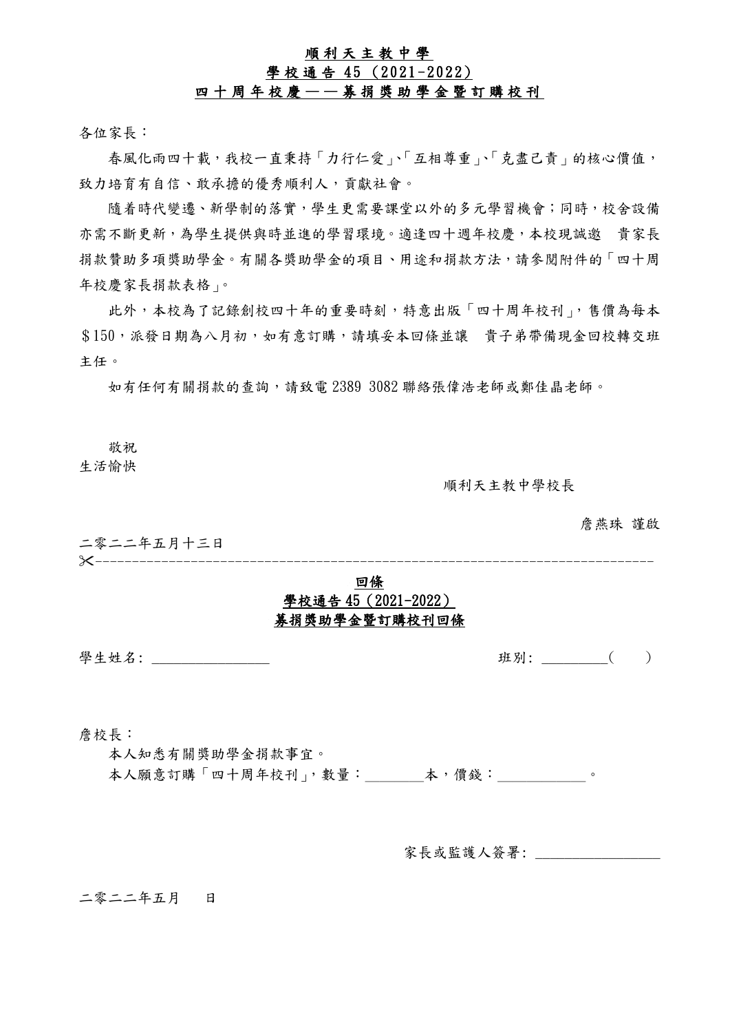## 順 利 天 主 教 中 學

# 學校通告 45 (2021-2022)

#### 四 十 周 年 校 慶 — — 募 捐 獎 助 學 金 暨 訂 購 校 刊

各位家長:

春風化雨四十載,我校一直秉持「力行仁愛」、「互相尊重」、「克盡己責」的核心價值, 致力培育有自信、敢承擔的優秀順利人,貢獻社會。

隨着時代變遷、新學制的落實,學生更需要課堂以外的多元學習機會;同時,校舍設備 亦需不斷更新,為學生提供與時並進的學習環境。適逢四十週年校慶,本校現誠邀 貴家長 捐款贊助多項獎助學金。有關各獎助學金的項目、用途和捐款方法,請參閱附件的「四十周 年校慶家長捐款表格」。

此外,本校為了記錄創校四十年的重要時刻,特意出版「四十周年校刊」,售價為每本 \$150,派發日期為八月初,如有意訂購,請填妥本回條並讓 貴子弟帶備現金回校轉交班 主任。

如有任何有關捐款的查詢,請致電 2389 3082 聯絡張偉浩老師或鄭佳晶老師。

敬祝

生活愉快

順利天主教中學校長

詹燕珠 謹啟

二零二二年五月十三日<br>》 ----------------------------------------------------------------------------

## 回條 學校通告 45(2021-2022) 募捐獎助學金暨訂購校刊回條

學生姓名: \_\_\_\_\_\_\_\_\_\_\_\_\_\_\_\_ 班別: \_\_\_\_\_\_\_\_\_( )

詹校長:

本人知悉有關獎助學金捐款事宜。

本人願意訂購「四十周年校刊」,數量: 本,價錢:

家長或監護人簽署:

二零二二年五月 日